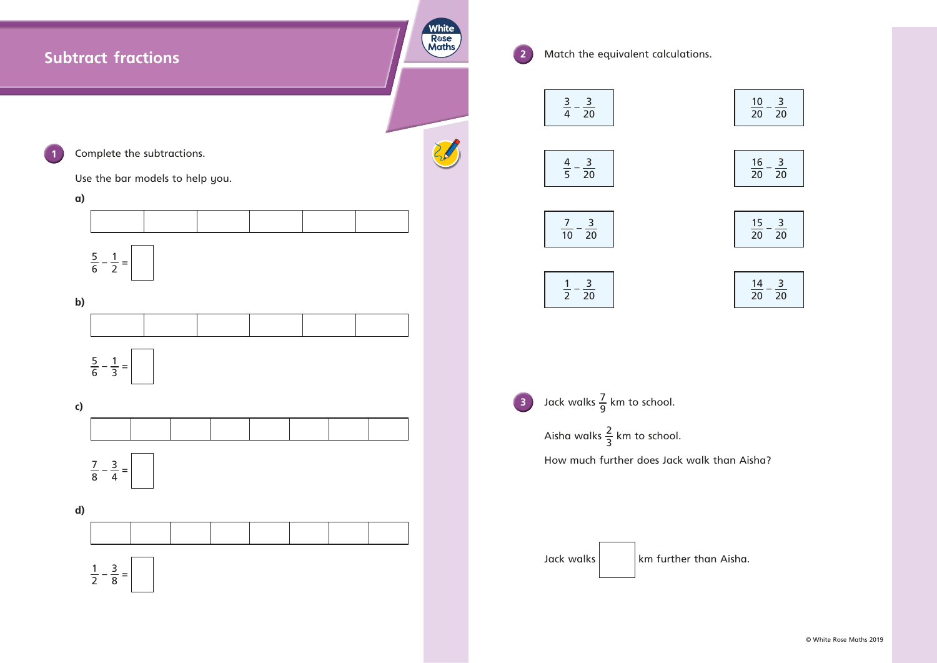